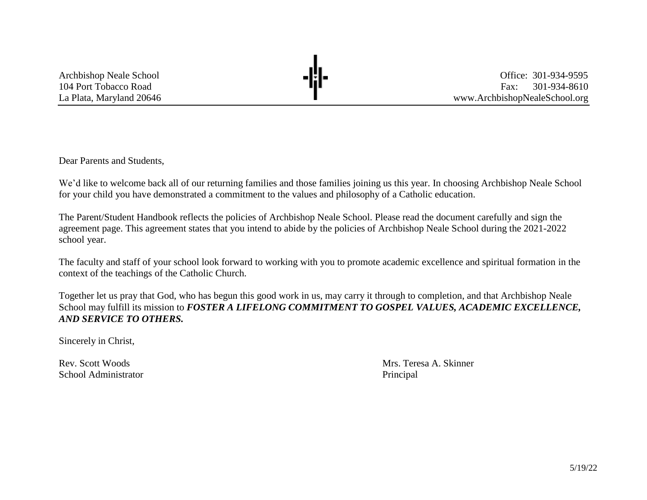Archbishop Neale School **Charles Charles Charles Charles <b>Charles Charles Charles Charles Charles Charles Charles Charles Charles Charles Charles Charles Charles Charles Charles Charles Charles Charles Charles Charle** 104 Port Tobacco Road Fax: 301-934-8610 La Plata, Maryland 20646 **a La Plata, Maryland 20646** [www.ArchbishopNealeSchool.org](http://www.archbishopnealeschool.org/)

Dear Parents and Students,

We'd like to welcome back all of our returning families and those families joining us this year. In choosing Archbishop Neale School for your child you have demonstrated a commitment to the values and philosophy of a Catholic education.

The Parent/Student Handbook reflects the policies of Archbishop Neale School. Please read the document carefully and sign the agreement page. This agreement states that you intend to abide by the policies of Archbishop Neale School during the 2021-2022 school year.

The faculty and staff of your school look forward to working with you to promote academic excellence and spiritual formation in the context of the teachings of the Catholic Church.

Together let us pray that God, who has begun this good work in us, may carry it through to completion, and that Archbishop Neale School may fulfill its mission to *FOSTER A LIFELONG COMMITMENT TO GOSPEL VALUES, ACADEMIC EXCELLENCE, AND SERVICE TO OTHERS.*

Sincerely in Christ,

School Administrator Principal and *Principal* Principal and *Principal* Principal and *Principal* Principal and *Principal* Principal and *Principal* Principal and *Principal* Principal and *Principal* and *Principal* And

Rev. Scott Woods **Mrs. Teresa A. Skinner**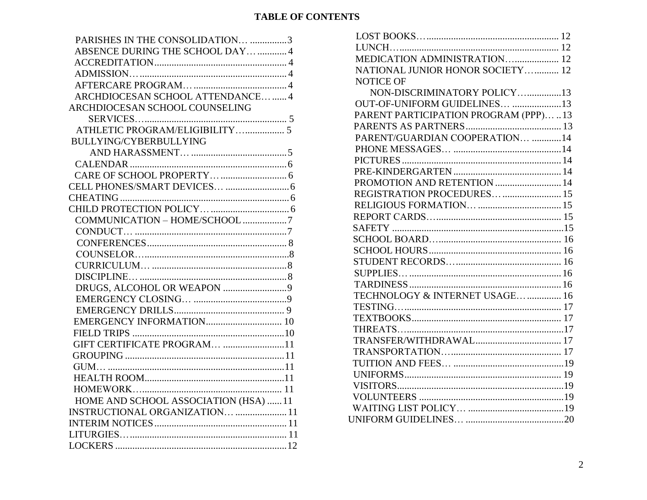# **TABLE OF CONTENTS**

| PARISHES IN THE CONSOLIDATION 3      |
|--------------------------------------|
| ABSENCE DURING THE SCHOOL DAY  4     |
|                                      |
|                                      |
|                                      |
| ARCHDIOCESAN SCHOOL ATTENDANCE 4     |
| ARCHDIOCESAN SCHOOL COUNSELING       |
|                                      |
| ATHLETIC PROGRAM/ELIGIBILITY 5       |
| BULLYING/CYBERBULLYING               |
|                                      |
|                                      |
|                                      |
|                                      |
|                                      |
|                                      |
| COMMUNICATION - HOME/SCHOOL 7        |
|                                      |
|                                      |
|                                      |
|                                      |
|                                      |
|                                      |
|                                      |
|                                      |
|                                      |
|                                      |
| GIFT CERTIFICATE PROGRAM 11          |
|                                      |
|                                      |
|                                      |
|                                      |
| HOME AND SCHOOL ASSOCIATION (HSA) 11 |
| INSTRUCTIONAL ORGANIZATION  11       |
|                                      |
|                                      |
|                                      |

| MEDICATION ADMINISTRATION 12           |  |
|----------------------------------------|--|
| NATIONAL JUNIOR HONOR SOCIETY 12       |  |
| <b>NOTICE OF</b>                       |  |
| NON-DISCRIMINATORY POLICY13            |  |
| OUT-OF-UNIFORM GUIDELINES 13           |  |
| PARENT PARTICIPATION PROGRAM (PPP)  13 |  |
|                                        |  |
| PARENT/GUARDIAN COOPERATION 14         |  |
|                                        |  |
|                                        |  |
|                                        |  |
| PROMOTION AND RETENTION  14            |  |
| REGISTRATION PROCEDURES  15            |  |
|                                        |  |
|                                        |  |
|                                        |  |
|                                        |  |
|                                        |  |
|                                        |  |
|                                        |  |
|                                        |  |
| TECHNOLOGY & INTERNET USAGE  16        |  |
|                                        |  |
|                                        |  |
|                                        |  |
|                                        |  |
|                                        |  |
|                                        |  |
|                                        |  |
|                                        |  |
|                                        |  |
|                                        |  |
|                                        |  |
|                                        |  |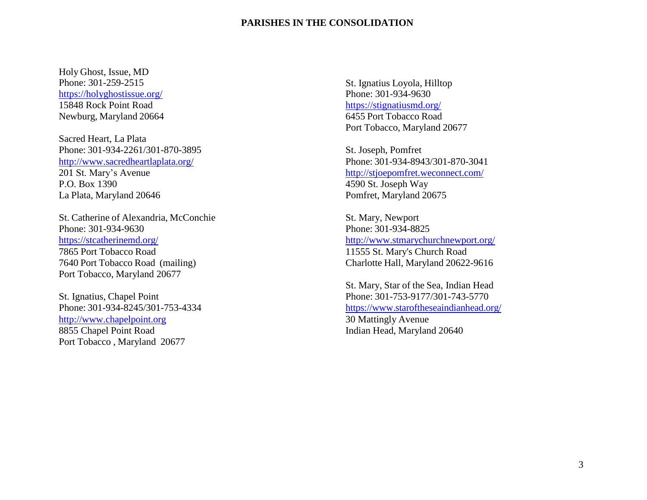#### **PARISHES IN THE CONSOLIDATION**

<span id="page-2-0"></span>Holy Ghost, Issue, MD Phone: 301-259-2515 <https://holyghostissue.org/> 15848 Rock Point Road Newburg, Maryland 20664

Sacred Heart, La Plata Phone: 301-934-2261/301-870-3895 <http://www.sacredheartlaplata.org/> 201 St. Mary's Avenue P.O. Box 1390 La Plata, Maryland 20646

St. Catherine of Alexandria, McConchie Phone: 301-934-9630 <https://stcatherinemd.org/> 7865 Port Tobacco Road 7640 Port Tobacco Road (mailing) Port Tobacco, Maryland 20677

St. Ignatius, Chapel Point Phone: 301-934-8245/301-753-4334 [http://www.chapelpoint.org](http://www.chapelpoint.org/) 8855 Chapel Point Road Port Tobacco , Maryland 20677

St. Ignatius Loyola, Hilltop Phone: 301-934-9630 <https://stignatiusmd.org/> 6455 Port Tobacco Road Port Tobacco, Maryland 20677

St. Joseph, Pomfret Phone: 301-934-8943/301-870-3041 <http://stjoepomfret.weconnect.com/> 4590 St. Joseph Way Pomfret, Maryland 20675

St. Mary, Newport Phone: 301-934-8825 <http://www.stmarychurchnewport.org/> 11555 St. Mary's Church Road Charlotte Hall, Maryland 20622-9616

St. Mary, Star of the Sea, Indian Head Phone: 301-753-9177/301-743-5770 <https://www.staroftheseaindianhead.org/> 30 Mattingly Avenue Indian Head, Maryland 20640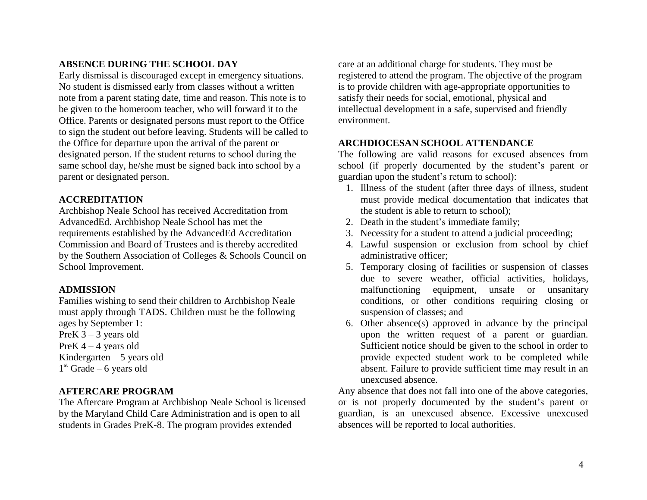### <span id="page-3-0"></span>**ABSENCE DURING THE SCHOOL DAY**

Early dismissal is discouraged except in emergency situations. No student is dismissed early from classes without a written note from a parent stating date, time and reason. This note is to be given to the homeroom teacher, who will forward it to the Office. Parents or designated persons must report to the Office to sign the student out before leaving. Students will be called to the Office for departure upon the arrival of the parent or designated person. If the student returns to school during the same school day, he/she must be signed back into school by a parent or designated person.

### <span id="page-3-1"></span>**ACCREDITATION**

Archbishop Neale School has received Accreditation from AdvancedEd. Archbishop Neale School has met the requirements established by the AdvancedEd Accreditation Commission and Board of Trustees and is thereby accredited by the Southern Association of Colleges & Schools Council on School Improvement.

### <span id="page-3-2"></span>**ADMISSION**

Families wishing to send their children to Archbishop Neale must apply through TADS. Children must be the following ages by September 1: PreK  $3 - 3$  years old PreK  $4 - 4$  years old Kindergarten  $-5$  years old  $1<sup>st</sup>$  Grade – 6 years old

### <span id="page-3-3"></span>**AFTERCARE PROGRAM**

The Aftercare Program at Archbishop Neale School is licensed by the Maryland Child Care Administration and is open to all students in Grades PreK-8. The program provides extended

care at an additional charge for students. They must be registered to attend the program. The objective of the program is to provide children with age-appropriate opportunities to satisfy their needs for social, emotional, physical and intellectual development in a safe, supervised and friendly environment.

### <span id="page-3-4"></span>**ARCHDIOCESAN SCHOOL ATTENDANCE**

The following are valid reasons for excused absences from school (if properly documented by the student's parent or guardian upon the student's return to school):

- 1. Illness of the student (after three days of illness, student must provide medical documentation that indicates that the student is able to return to school);
- 2. Death in the student's immediate family;
- 3. Necessity for a student to attend a judicial proceeding;
- 4. Lawful suspension or exclusion from school by chief administrative officer;
- 5. Temporary closing of facilities or suspension of classes due to severe weather, official activities, holidays, malfunctioning equipment, unsafe or unsanitary conditions, or other conditions requiring closing or suspension of classes; and
- 6. Other absence(s) approved in advance by the principal upon the written request of a parent or guardian. Sufficient notice should be given to the school in order to provide expected student work to be completed while absent. Failure to provide sufficient time may result in an unexcused absence.

Any absence that does not fall into one of the above categories, or is not properly documented by the student's parent or guardian, is an unexcused absence. Excessive unexcused absences will be reported to local authorities.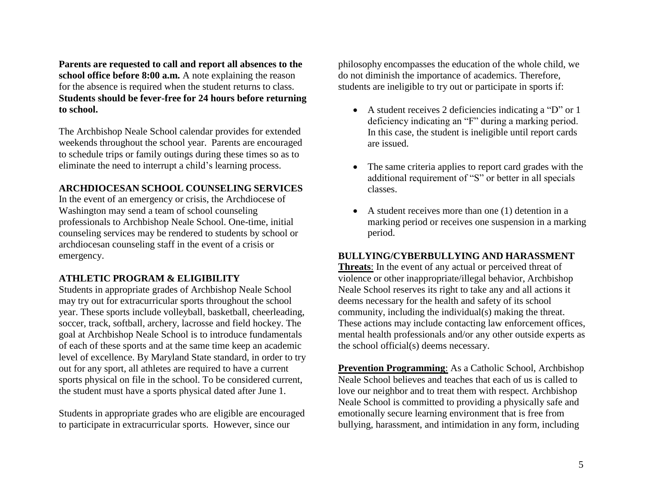**Parents are requested to call and report all absences to the school office before 8:00 a.m.** A note explaining the reason for the absence is required when the student returns to class. **Students should be fever-free for 24 hours before returning to school.**

The Archbishop Neale School calendar provides for extended weekends throughout the school year. Parents are encouraged to schedule trips or family outings during these times so as to eliminate the need to interrupt a child's learning process.

### **ARCHDIOCESAN SCHOOL COUNSELING SERVICES**

In the event of an emergency or crisis, the Archdiocese of Washington may send a team of school counseling professionals to Archbishop Neale School. One-time, initial counseling services may be rendered to students by school or archdiocesan counseling staff in the event of a crisis or emergency.

### <span id="page-4-0"></span>**ATHLETIC PROGRAM & ELIGIBILITY**

Students in appropriate grades of Archbishop Neale School may try out for extracurricular sports throughout the school year. These sports include volleyball, basketball, cheerleading, soccer, track, softball, archery, lacrosse and field hockey. The goal at Archbishop Neale School is to introduce fundamentals of each of these sports and at the same time keep an academic level of excellence. By Maryland State standard, in order to try out for any sport, all athletes are required to have a current sports physical on file in the school. To be considered current, the student must have a sports physical dated after June 1.

Students in appropriate grades who are eligible are encouraged to participate in extracurricular sports. However, since our

philosophy encompasses the education of the whole child, we do not diminish the importance of academics. Therefore, students are ineligible to try out or participate in sports if:

- A student receives 2 deficiencies indicating a "D" or 1 deficiency indicating an "F" during a marking period. In this case, the student is ineligible until report cards are issued.
- The same criteria applies to report card grades with the additional requirement of "S" or better in all specials classes.
- A student receives more than one (1) detention in a marking period or receives one suspension in a marking period.

#### **BULLYING/CYBERBULLYING AND HARASSMENT**

**Threats**: In the event of any actual or perceived threat of violence or other inappropriate/illegal behavior, Archbishop Neale School reserves its right to take any and all actions it deems necessary for the health and safety of its school community, including the individual(s) making the threat. These actions may include contacting law enforcement offices, mental health professionals and/or any other outside experts as the school official(s) deems necessary.

**Prevention Programming**: As a Catholic School, Archbishop Neale School believes and teaches that each of us is called to love our neighbor and to treat them with respect. Archbishop Neale School is committed to providing a physically safe and emotionally secure learning environment that is free from bullying, harassment, and intimidation in any form, including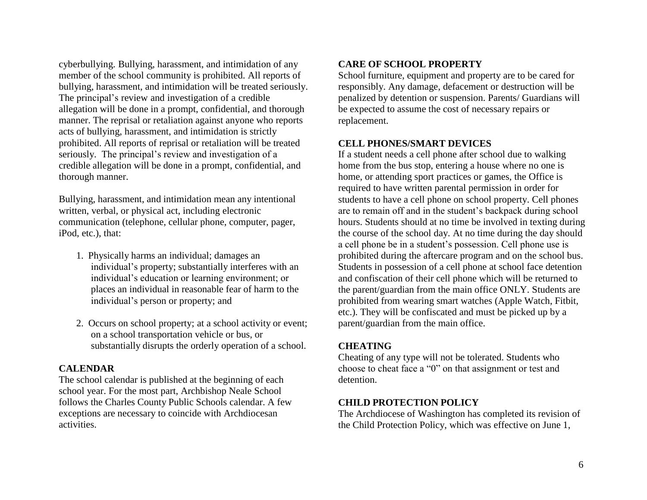cyberbullying. Bullying, harassment, and intimidation of any member of the school community is prohibited. All reports of bullying, harassment, and intimidation will be treated seriously. The principal's review and investigation of a credible allegation will be done in a prompt, confidential, and thorough manner. The reprisal or retaliation against anyone who reports acts of bullying, harassment, and intimidation is strictly prohibited. All reports of reprisal or retaliation will be treated seriously. The principal's review and investigation of a credible allegation will be done in a prompt, confidential, and thorough manner.

Bullying, harassment, and intimidation mean any intentional written, verbal, or physical act, including electronic communication (telephone, cellular phone, computer, pager, iPod, etc.), that:

- 1. Physically harms an individual; damages an individual's property; substantially interferes with an individual's education or learning environment; or places an individual in reasonable fear of harm to the individual's person or property; and
- 2. Occurs on school property; at a school activity or event; on a school transportation vehicle or bus, or substantially disrupts the orderly operation of a school.

### <span id="page-5-0"></span>**CALENDAR**

<span id="page-5-1"></span>The school calendar is published at the beginning of each school year. For the most part, Archbishop Neale School follows the Charles County Public Schools calendar. A few exceptions are necessary to coincide with Archdiocesan activities.

# **CARE OF SCHOOL PROPERTY**

School furniture, equipment and property are to be cared for responsibly. Any damage, defacement or destruction will be penalized by detention or suspension. Parents/ Guardians will be expected to assume the cost of necessary repairs or replacement.

# <span id="page-5-2"></span>**CELL PHONES/SMART DEVICES**

If a student needs a cell phone after school due to walking home from the bus stop, entering a house where no one is home, or attending sport practices or games, the Office is required to have written parental permission in order for students to have a cell phone on school property. Cell phones are to remain off and in the student's backpack during school hours. Students should at no time be involved in texting during the course of the school day. At no time during the day should a cell phone be in a student's possession. Cell phone use is prohibited during the aftercare program and on the school bus. Students in possession of a cell phone at school face detention and confiscation of their cell phone which will be returned to the parent/guardian from the main office ONLY. Students are prohibited from wearing smart watches (Apple Watch, Fitbit, etc.). They will be confiscated and must be picked up by a parent/guardian from the main office.

### <span id="page-5-3"></span>**CHEATING**

Cheating of any type will not be tolerated. Students who choose to cheat face a "0" on that assignment or test and detention.

# <span id="page-5-4"></span>**CHILD PROTECTION POLICY**

The Archdiocese of Washington has completed its revision of the Child Protection Policy, which was effective on June 1,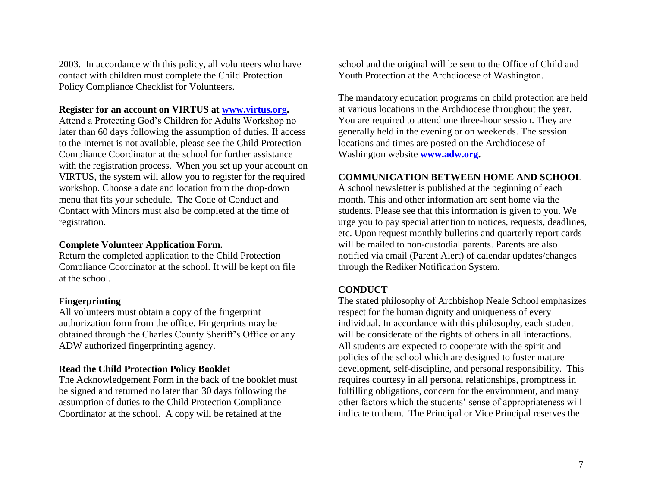2003. In accordance with this policy, all volunteers who have contact with children must complete the Child Protection Policy Compliance Checklist for Volunteers.

#### **Register for an account on VIRTUS at [www.virtus.org.](http://www.virtus.org/)**

Attend a Protecting God's Children for Adults Workshop no later than 60 days following the assumption of duties. If access to the Internet is not available, please see the Child Protection Compliance Coordinator at the school for further assistance with the registration process. When you set up your account on VIRTUS, the system will allow you to register for the required workshop. Choose a date and location from the drop-down menu that fits your schedule. The Code of Conduct and Contact with Minors must also be completed at the time of registration.

#### **Complete Volunteer Application Form.**

Return the completed application to the Child Protection Compliance Coordinator at the school. It will be kept on file at the school.

### **Fingerprinting**

All volunteers must obtain a copy of the fingerprint authorization form from the office. Fingerprints may be obtained through the Charles County Sheriff's Office or any ADW authorized fingerprinting agency.

#### **Read the Child Protection Policy Booklet**

The Acknowledgement Form in the back of the booklet must be signed and returned no later than 30 days following the assumption of duties to the Child Protection Compliance Coordinator at the school. A copy will be retained at the

school and the original will be sent to the Office of Child and Youth Protection at the Archdiocese of Washington.

The mandatory education programs on child protection are held at various locations in the Archdiocese throughout the year. You are required to attend one three-hour session. They are generally held in the evening or on weekends. The session locations and times are posted on the Archdiocese of Washington website **[www.adw.org.](http://www.adw.org/)**

#### **COMMUNICATION BETWEEN HOME AND SCHOOL**

A school newsletter is published at the beginning of each month. This and other information are sent home via the students. Please see that this information is given to you. We urge you to pay special attention to notices, requests, deadlines, etc. Upon request monthly bulletins and quarterly report cards will be mailed to non-custodial parents. Parents are also notified via email (Parent Alert) of calendar updates/changes through the Rediker Notification System.

### <span id="page-6-0"></span>**CONDUCT**

The stated philosophy of Archbishop Neale School emphasizes respect for the human dignity and uniqueness of every individual. In accordance with this philosophy, each student will be considerate of the rights of others in all interactions. All students are expected to cooperate with the spirit and policies of the school which are designed to foster mature development, self-discipline, and personal responsibility. This requires courtesy in all personal relationships, promptness in fulfilling obligations, concern for the environment, and many other factors which the students' sense of appropriateness will indicate to them. The Principal or Vice Principal reserves the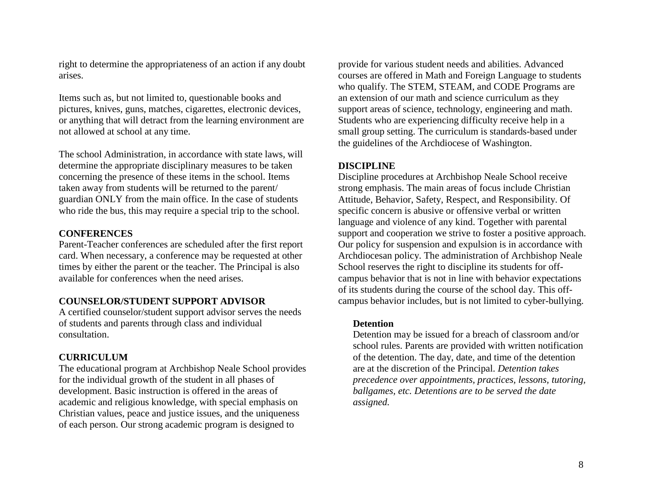right to determine the appropriateness of an action if any doubt arises.

Items such as, but not limited to, questionable books and pictures, knives, guns, matches, cigarettes, electronic devices, or anything that will detract from the learning environment are not allowed at school at any time.

The school Administration, in accordance with state laws, will determine the appropriate disciplinary measures to be taken concerning the presence of these items in the school. Items taken away from students will be returned to the parent/ guardian ONLY from the main office. In the case of students who ride the bus, this may require a special trip to the school.

### <span id="page-7-0"></span>**CONFERENCES**

Parent-Teacher conferences are scheduled after the first report card. When necessary, a conference may be requested at other times by either the parent or the teacher. The Principal is also available for conferences when the need arises.

### **COUNSELOR/STUDENT SUPPORT ADVISOR**

A certified counselor/student support advisor serves the needs of students and parents through class and individual consultation.

### <span id="page-7-1"></span>**CURRICULUM**

The educational program at Archbishop Neale School provides for the individual growth of the student in all phases of development. Basic instruction is offered in the areas of academic and religious knowledge, with special emphasis on Christian values, peace and justice issues, and the uniqueness of each person. Our strong academic program is designed to

provide for various student needs and abilities. Advanced courses are offered in Math and Foreign Language to students who qualify. The STEM, STEAM, and CODE Programs are an extension of our math and science curriculum as they support areas of science, technology, engineering and math. Students who are experiencing difficulty receive help in a small group setting. The curriculum is standards-based under the guidelines of the Archdiocese of Washington.

### <span id="page-7-2"></span>**DISCIPLINE**

Discipline procedures at Archbishop Neale School receive strong emphasis. The main areas of focus include Christian Attitude, Behavior, Safety, Respect, and Responsibility. Of specific concern is abusive or offensive verbal or written language and violence of any kind. Together with parental support and cooperation we strive to foster a positive approach. Our policy for suspension and expulsion is in accordance with Archdiocesan policy. The administration of Archbishop Neale School reserves the right to discipline its students for offcampus behavior that is not in line with behavior expectations of its students during the course of the school day. This offcampus behavior includes, but is not limited to cyber-bullying.

#### **Detention**

Detention may be issued for a breach of classroom and/or school rules. Parents are provided with written notification of the detention. The day, date, and time of the detention are at the discretion of the Principal. *Detention takes precedence over appointments, practices, lessons, tutoring, ballgames, etc. Detentions are to be served the date assigned.*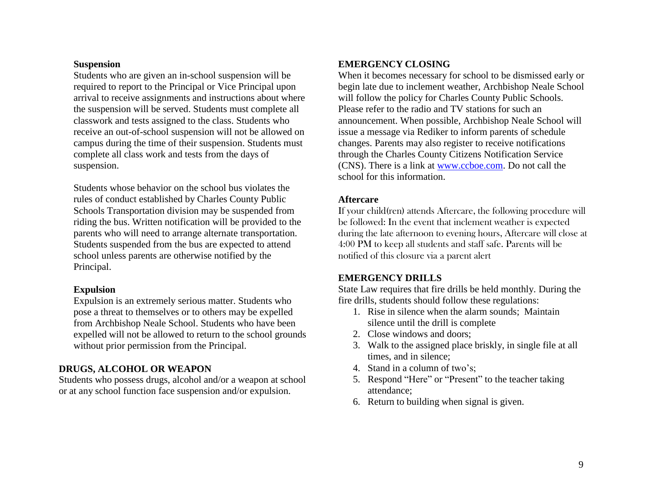#### **Suspension**

Students who are given an in-school suspension will be required to report to the Principal or Vice Principal upon arrival to receive assignments and instructions about where the suspension will be served. Students must complete all classwork and tests assigned to the class. Students who receive an out-of-school suspension will not be allowed on campus during the time of their suspension. Students must complete all class work and tests from the days of suspension.

Students whose behavior on the school bus violates the rules of conduct established by Charles County Public Schools Transportation division may be suspended from riding the bus. Written notification will be provided to the parents who will need to arrange alternate transportation. Students suspended from the bus are expected to attend school unless parents are otherwise notified by the Principal.

### **Expulsion**

Expulsion is an extremely serious matter. Students who pose a threat to themselves or to others may be expelled from Archbishop Neale School. Students who have been expelled will not be allowed to return to the school grounds without prior permission from the Principal.

# <span id="page-8-0"></span>**DRUGS, ALCOHOL OR WEAPON**

<span id="page-8-1"></span>Students who possess drugs, alcohol and/or a weapon at school or at any school function face suspension and/or expulsion.

### **EMERGENCY CLOSING**

When it becomes necessary for school to be dismissed early or begin late due to inclement weather, Archbishop Neale School will follow the policy for Charles County Public Schools. Please refer to the radio and TV stations for such an announcement. When possible, Archbishop Neale School will issue a message via Rediker to inform parents of schedule changes. Parents may also register to receive notifications through the Charles County Citizens Notification Service (CNS). There is a link at [www.ccboe.com.](http://www.ccboe.com/) Do not call the school for this information.

### **Aftercare**

If your child(ren) attends Aftercare, the following procedure will be followed: In the event that inclement weather is expected during the late afternoon to evening hours, Aftercare will close at 4:00 PM to keep all students and staff safe. Parents will be notified of this closure via a parent alert

### <span id="page-8-2"></span>**EMERGENCY DRILLS**

State Law requires that fire drills be held monthly. During the fire drills, students should follow these regulations:

- 1. Rise in silence when the alarm sounds; Maintain silence until the drill is complete
- 2. Close windows and doors;
- 3. Walk to the assigned place briskly, in single file at all times, and in silence;
- 4. Stand in a column of two's;
- 5. Respond "Here" or "Present" to the teacher taking attendance;
- 6. Return to building when signal is given.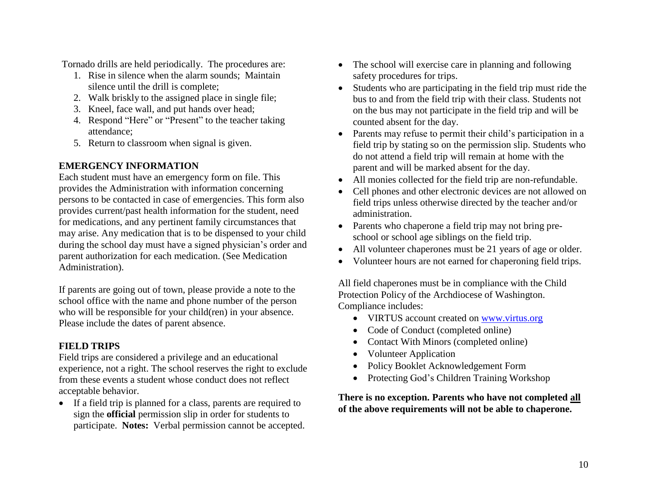Tornado drills are held periodically. The procedures are:

- 1. Rise in silence when the alarm sounds; Maintain silence until the drill is complete;
- 2. Walk briskly to the assigned place in single file;
- 3. Kneel, face wall, and put hands over head;
- 4. Respond "Here" or "Present" to the teacher taking attendance;
- 5. Return to classroom when signal is given.

# <span id="page-9-0"></span>**EMERGENCY INFORMATION**

Each student must have an emergency form on file. This provides the Administration with information concerning persons to be contacted in case of emergencies. This form also provides current/past health information for the student, need for medications, and any pertinent family circumstances that may arise. Any medication that is to be dispensed to your child during the school day must have a signed physician's order and parent authorization for each medication. (See Medication Administration).

If parents are going out of town, please provide a note to the school office with the name and phone number of the person who will be responsible for your child(ren) in your absence. Please include the dates of parent absence.

# <span id="page-9-1"></span>**FIELD TRIPS**

Field trips are considered a privilege and an educational experience, not a right. The school reserves the right to exclude from these events a student whose conduct does not reflect acceptable behavior.

 If a field trip is planned for a class, parents are required to sign the **official** permission slip in order for students to participate. **Notes:** Verbal permission cannot be accepted.

- The school will exercise care in planning and following safety procedures for trips.
- Students who are participating in the field trip must ride the bus to and from the field trip with their class. Students not on the bus may not participate in the field trip and will be counted absent for the day.
- Parents may refuse to permit their child's participation in a field trip by stating so on the permission slip. Students who do not attend a field trip will remain at home with the parent and will be marked absent for the day.
- All monies collected for the field trip are non-refundable.
- Cell phones and other electronic devices are not allowed on field trips unless otherwise directed by the teacher and/or administration.
- Parents who chaperone a field trip may not bring preschool or school age siblings on the field trip.
- All volunteer chaperones must be 21 years of age or older.
- Volunteer hours are not earned for chaperoning field trips.

All field chaperones must be in compliance with the Child Protection Policy of the Archdiocese of Washington. Compliance includes:

- VIRTUS account created on [www.virtus.org](http://www.virtus.org/)
- Code of Conduct (completed online)
- Contact With Minors (completed online)
- Volunteer Application
- Policy Booklet Acknowledgement Form
- Protecting God's Children Training Workshop

### **There is no exception. Parents who have not completed all of the above requirements will not be able to chaperone.**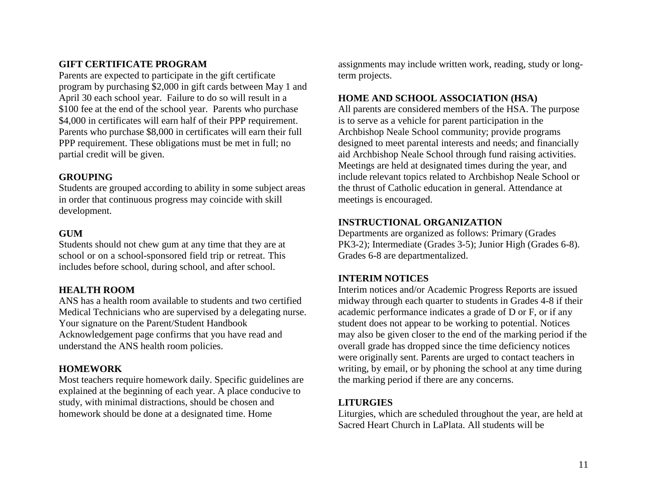# <span id="page-10-0"></span>**GIFT CERTIFICATE PROGRAM**

Parents are expected to participate in the gift certificate program by purchasing \$2,000 in gift cards between May 1 and April 30 each school year. Failure to do so will result in a \$100 fee at the end of the school year. Parents who purchase \$4,000 in certificates will earn half of their PPP requirement. Parents who purchase \$8,000 in certificates will earn their full PPP requirement. These obligations must be met in full; no partial credit will be given.

#### <span id="page-10-1"></span>**GROUPING**

Students are grouped according to ability in some subject areas in order that continuous progress may coincide with skill development.

#### <span id="page-10-2"></span>**GUM**

Students should not chew gum at any time that they are at school or on a school-sponsored field trip or retreat. This includes before school, during school, and after school.

#### <span id="page-10-3"></span>**HEALTH ROOM**

ANS has a health room available to students and two certified Medical Technicians who are supervised by a delegating nurse. Your signature on the Parent/Student Handbook Acknowledgement page confirms that you have read and understand the ANS health room policies.

#### <span id="page-10-4"></span>**HOMEWORK**

Most teachers require homework daily. Specific guidelines are explained at the beginning of each year. A place conducive to study, with minimal distractions, should be chosen and homework should be done at a designated time. Home

assignments may include written work, reading, study or longterm projects.

#### <span id="page-10-5"></span>**HOME AND SCHOOL ASSOCIATION (HSA)**

All parents are considered members of the HSA. The purpose is to serve as a vehicle for parent participation in the Archbishop Neale School community; provide programs designed to meet parental interests and needs; and financially aid Archbishop Neale School through fund raising activities. Meetings are held at designated times during the year, and include relevant topics related to Archbishop Neale School or the thrust of Catholic education in general. Attendance at meetings is encouraged.

#### <span id="page-10-6"></span>**INSTRUCTIONAL ORGANIZATION**

Departments are organized as follows: Primary (Grades PK3-2); Intermediate (Grades 3-5); Junior High (Grades 6-8). Grades 6-8 are departmentalized.

#### <span id="page-10-7"></span>**INTERIM NOTICES**

Interim notices and/or Academic Progress Reports are issued midway through each quarter to students in Grades 4-8 if their academic performance indicates a grade of D or F, or if any student does not appear to be working to potential. Notices may also be given closer to the end of the marking period if the overall grade has dropped since the time deficiency notices were originally sent. Parents are urged to contact teachers in writing, by email, or by phoning the school at any time during the marking period if there are any concerns.

#### <span id="page-10-8"></span>**LITURGIES**

Liturgies, which are scheduled throughout the year, are held at Sacred Heart Church in LaPlata. All students will be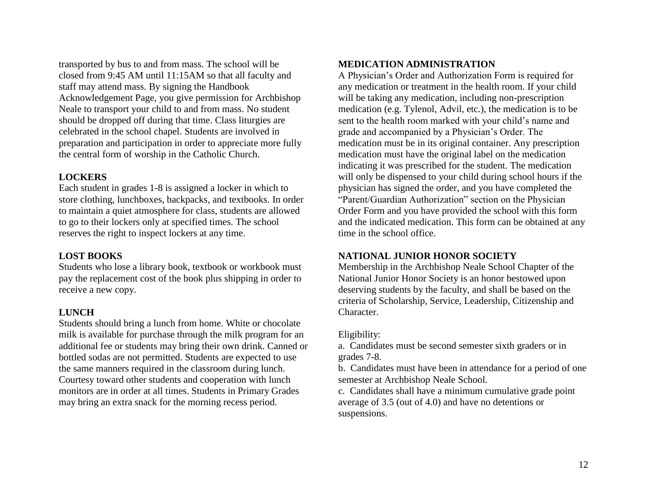transported by bus to and from mass. The school will be closed from 9:45 AM until 11:15AM so that all faculty and staff may attend mass. By signing the Handbook Acknowledgement Page, you give permission for Archbishop Neale to transport your child to and from mass. No student should be dropped off during that time. Class liturgies are celebrated in the school chapel. Students are involved in preparation and participation in order to appreciate more fully the central form of worship in the Catholic Church.

### <span id="page-11-0"></span>**LOCKERS**

Each student in grades 1-8 is assigned a locker in which to store clothing, lunchboxes, backpacks, and textbooks. In order to maintain a quiet atmosphere for class, students are allowed to go to their lockers only at specified times. The school reserves the right to inspect lockers at any time.

### <span id="page-11-1"></span>**LOST BOOKS**

Students who lose a library book, textbook or workbook must pay the replacement cost of the book plus shipping in order to receive a new copy.

### <span id="page-11-2"></span>**LUNCH**

<span id="page-11-3"></span>Students should bring a lunch from home. White or chocolate milk is available for purchase through the milk program for an additional fee or students may bring their own drink. Canned or bottled sodas are not permitted. Students are expected to use the same manners required in the classroom during lunch. Courtesy toward other students and cooperation with lunch monitors are in order at all times. Students in Primary Grades may bring an extra snack for the morning recess period.

### **MEDICATION ADMINISTRATION**

A Physician's Order and Authorization Form is required for any medication or treatment in the health room. If your child will be taking any medication, including non-prescription medication (e.g. Tylenol, Advil, etc.), the medication is to be sent to the health room marked with your child's name and grade and accompanied by a Physician's Order. The medication must be in its original container. Any prescription medication must have the original label on the medication indicating it was prescribed for the student. The medication will only be dispensed to your child during school hours if the physician has signed the order, and you have completed the "Parent/Guardian Authorization" section on the Physician Order Form and you have provided the school with this form and the indicated medication. This form can be obtained at any time in the school office.

### <span id="page-11-4"></span>**NATIONAL JUNIOR HONOR SOCIETY**

Membership in the Archbishop Neale School Chapter of the National Junior Honor Society is an honor bestowed upon deserving students by the faculty, and shall be based on the criteria of Scholarship, Service, Leadership, Citizenship and Character.

### Eligibility:

a. Candidates must be second semester sixth graders or in grades 7-8.

b. Candidates must have been in attendance for a period of one semester at Archbishop Neale School.

c. Candidates shall have a minimum cumulative grade point average of 3.5 (out of 4.0) and have no detentions or suspensions.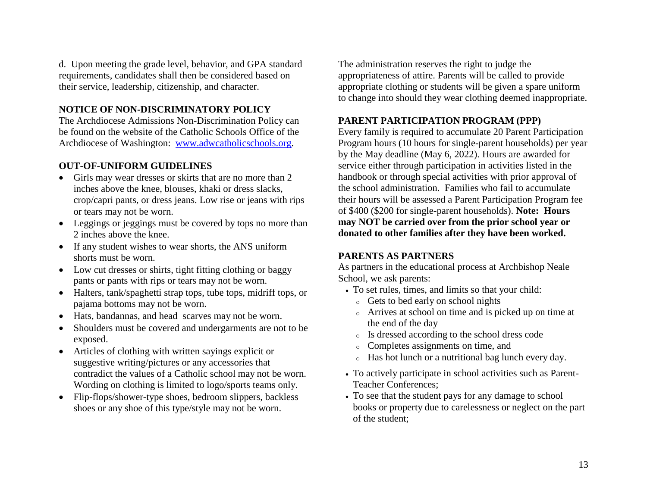d. Upon meeting the grade level, behavior, and GPA standard requirements, candidates shall then be considered based on their service, leadership, citizenship, and character.

### **NOTICE OF NON-DISCRIMINATORY POLICY**

The Archdiocese Admissions Non-Discrimination Policy can be found on the website of the Catholic Schools Office of the Archdiocese of Washington: [www.adwcatholicschools.org.](http://www.adwcatholicschools.org/)

### <span id="page-12-0"></span>**OUT-OF-UNIFORM GUIDELINES**

- Girls may wear dresses or skirts that are no more than 2 inches above the knee, blouses, khaki or dress slacks, crop/capri pants, or dress jeans. Low rise or jeans with rips or tears may not be worn.
- Leggings or jeggings must be covered by tops no more than 2 inches above the knee.
- If any student wishes to wear shorts, the ANS uniform shorts must be worn.
- Low cut dresses or shirts, tight fitting clothing or baggy pants or pants with rips or tears may not be worn.
- Halters, tank/spaghetti strap tops, tube tops, midriff tops, or pajama bottoms may not be worn.
- Hats, bandannas, and head scarves may not be worn.
- Shoulders must be covered and undergarments are not to be exposed.
- Articles of clothing with written sayings explicit or suggestive writing/pictures or any accessories that contradict the values of a Catholic school may not be worn. Wording on clothing is limited to logo/sports teams only.
- Flip-flops/shower-type shoes, bedroom slippers, backless shoes or any shoe of this type/style may not be worn.

The administration reserves the right to judge the appropriateness of attire. Parents will be called to provide appropriate clothing or students will be given a spare uniform to change into should they wear clothing deemed inappropriate.

# <span id="page-12-1"></span>**PARENT PARTICIPATION PROGRAM (PPP)**

Every family is required to accumulate 20 Parent Participation Program hours (10 hours for single-parent households) per year by the May deadline (May 6, 2022). Hours are awarded for service either through participation in activities listed in the handbook or through special activities with prior approval of the school administration. Families who fail to accumulate their hours will be assessed a Parent Participation Program fee of \$400 (\$200 for single-parent households). **Note: Hours may NOT be carried over from the prior school year or donated to other families after they have been worked.**

### <span id="page-12-2"></span>**PARENTS AS PARTNERS**

As partners in the educational process at Archbishop Neale School, we ask parents:

- To set rules, times, and limits so that your child:
	- <sup>o</sup> Gets to bed early on school nights
	- <sup>o</sup> Arrives at school on time and is picked up on time at the end of the day
	- <sup>o</sup> Is dressed according to the school dress code
	- <sup>o</sup> Completes assignments on time, and
	- <sup>o</sup> Has hot lunch or a nutritional bag lunch every day.
- To actively participate in school activities such as Parent-Teacher Conferences;
- To see that the student pays for any damage to school books or property due to carelessness or neglect on the part of the student;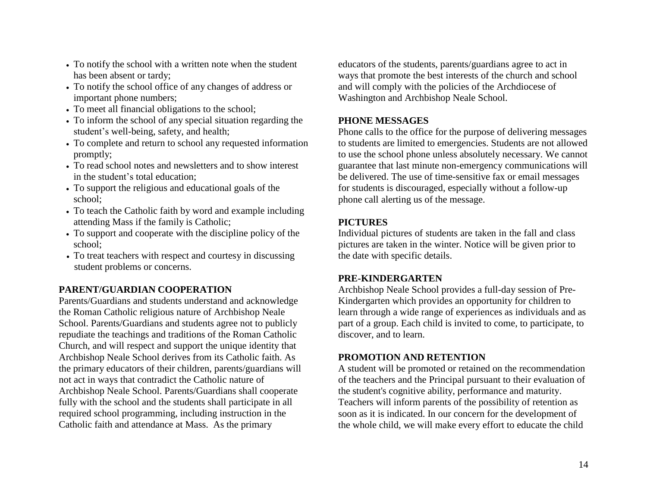- To notify the school with a written note when the student has been absent or tardy;
- To notify the school office of any changes of address or important phone numbers;
- To meet all financial obligations to the school;
- To inform the school of any special situation regarding the student's well-being, safety, and health;
- To complete and return to school any requested information promptly;
- To read school notes and newsletters and to show interest in the student's total education;
- To support the religious and educational goals of the school;
- To teach the Catholic faith by word and example including attending Mass if the family is Catholic;
- To support and cooperate with the discipline policy of the school;
- To treat teachers with respect and courtesy in discussing student problems or concerns.

# <span id="page-13-0"></span>**PARENT/GUARDIAN COOPERATION**

Parents/Guardians and students understand and acknowledge the Roman Catholic religious nature of Archbishop Neale School. Parents/Guardians and students agree not to publicly repudiate the teachings and traditions of the Roman Catholic Church, and will respect and support the unique identity that Archbishop Neale School derives from its Catholic faith. As the primary educators of their children, parents/guardians will not act in ways that contradict the Catholic nature of Archbishop Neale School. Parents/Guardians shall cooperate fully with the school and the students shall participate in all required school programming, including instruction in the Catholic faith and attendance at Mass. As the primary

educators of the students, parents/guardians agree to act in ways that promote the best interests of the church and school and will comply with the policies of the Archdiocese of Washington and Archbishop Neale School.

### <span id="page-13-1"></span>**PHONE MESSAGES**

Phone calls to the office for the purpose of delivering messages to students are limited to emergencies. Students are not allowed to use the school phone unless absolutely necessary. We cannot guarantee that last minute non-emergency communications will be delivered. The use of time-sensitive fax or email messages for students is discouraged, especially without a follow-up phone call alerting us of the message.

### <span id="page-13-2"></span>**PICTURES**

Individual pictures of students are taken in the fall and class pictures are taken in the winter. Notice will be given prior to the date with specific details.

### <span id="page-13-3"></span>**PRE-KINDERGARTEN**

Archbishop Neale School provides a full-day session of Pre-Kindergarten which provides an opportunity for children to learn through a wide range of experiences as individuals and as part of a group. Each child is invited to come, to participate, to discover, and to learn.

### <span id="page-13-4"></span>**PROMOTION AND RETENTION**

A student will be promoted or retained on the recommendation of the teachers and the Principal pursuant to their evaluation of the student's cognitive ability, performance and maturity. Teachers will inform parents of the possibility of retention as soon as it is indicated. In our concern for the development of the whole child, we will make every effort to educate the child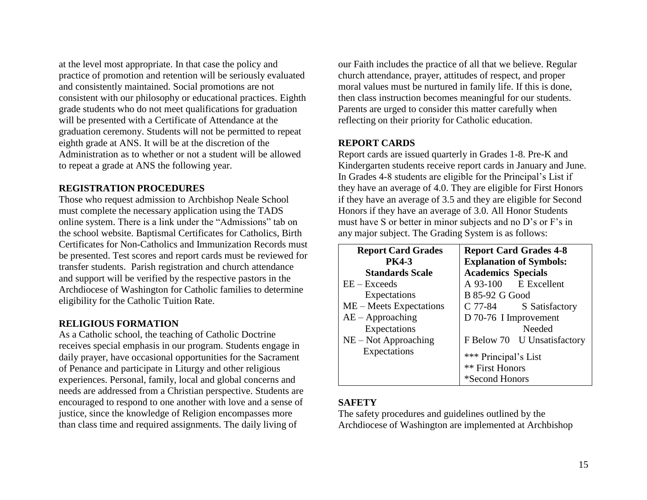at the level most appropriate. In that case the policy and practice of promotion and retention will be seriously evaluated and consistently maintained. Social promotions are not consistent with our philosophy or educational practices. Eighth grade students who do not meet qualifications for graduation will be presented with a Certificate of Attendance at the graduation ceremony. Students will not be permitted to repeat eighth grade at ANS. It will be at the discretion of the Administration as to whether or not a student will be allowed to repeat a grade at ANS the following year.

#### <span id="page-14-0"></span>**REGISTRATION PROCEDURES**

Those who request admission to Archbishop Neale School must complete the necessary application using the TADS online system. There is a link under the "Admissions" tab on the school website. Baptismal Certificates for Catholics, Birth Certificates for Non-Catholics and Immunization Records must be presented. Test scores and report cards must be reviewed for transfer students. Parish registration and church attendance and support will be verified by the respective pastors in the Archdiocese of Washington for Catholic families to determine eligibility for the Catholic Tuition Rate.

### <span id="page-14-1"></span>**RELIGIOUS FORMATION**

As a Catholic school, the teaching of Catholic Doctrine receives special emphasis in our program. Students engage in daily prayer, have occasional opportunities for the Sacrament of Penance and participate in Liturgy and other religious experiences. Personal, family, local and global concerns and needs are addressed from a Christian perspective. Students are encouraged to respond to one another with love and a sense of justice, since the knowledge of Religion encompasses more than class time and required assignments. The daily living of

our Faith includes the practice of all that we believe. Regular church attendance, prayer, attitudes of respect, and proper moral values must be nurtured in family life. If this is done, then class instruction becomes meaningful for our students. Parents are urged to consider this matter carefully when reflecting on their priority for Catholic education.

### <span id="page-14-2"></span>**REPORT CARDS**

Report cards are issued quarterly in Grades 1-8. Pre-K and Kindergarten students receive report cards in January and June. In Grades 4-8 students are eligible for the Principal's List if they have an average of 4.0. They are eligible for First Honors if they have an average of 3.5 and they are eligible for Second Honors if they have an average of 3.0. All Honor Students must have S or better in minor subjects and no D's or F's in any major subject. The Grading System is as follows:

| <b>Report Card Grades</b> | <b>Report Card Grades 4-8</b>  |
|---------------------------|--------------------------------|
| <b>PK4-3</b>              | <b>Explanation of Symbols:</b> |
| <b>Standards Scale</b>    | <b>Academics Specials</b>      |
| $EE - Exceeds$            | A 93-100 E Excellent           |
| Expectations              | <b>B</b> 85-92 G Good          |
| $ME$ – Meets Expectations | C 77-84 S Satisfactory         |
| $AE - Approaching$        | D 70-76 I Improvement          |
| Expectations              | Needed                         |
| $NE - Not$ Approaching    | F Below 70 U Unsatisfactory    |
| Expectations              | *** Principal's List           |
|                           | ** First Honors                |
|                           | *Second Honors                 |

### <span id="page-14-3"></span>**SAFETY**

The safety procedures and guidelines outlined by the Archdiocese of Washington are implemented at Archbishop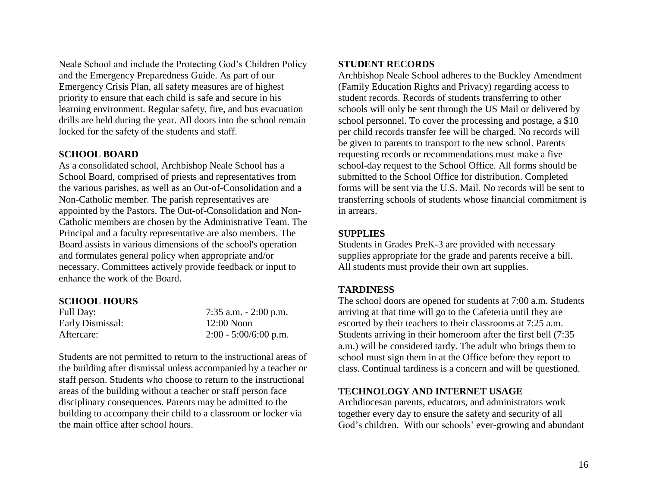Neale School and include the Protecting God's Children Policy and the Emergency Preparedness Guide. As part of our Emergency Crisis Plan, all safety measures are of highest priority to ensure that each child is safe and secure in his learning environment. Regular safety, fire, and bus evacuation drills are held during the year. All doors into the school remain locked for the safety of the students and staff.

#### <span id="page-15-0"></span>**SCHOOL BOARD**

As a consolidated school, Archbishop Neale School has a School Board, comprised of priests and representatives from the various parishes, as well as an Out-of-Consolidation and a Non-Catholic member. The parish representatives are appointed by the Pastors. The Out-of-Consolidation and Non-Catholic members are chosen by the Administrative Team. The Principal and a faculty representative are also members. The Board assists in various dimensions of the school's operation and formulates general policy when appropriate and/or necessary. Committees actively provide feedback or input to enhance the work of the Board.

#### <span id="page-15-1"></span>**SCHOOL HOURS**

| Full Day:        | 7:35 a.m. $-2:00$ p.m.  |
|------------------|-------------------------|
| Early Dismissal: | $12:00$ Noon            |
| Aftercare:       | $2:00 - 5:00/6:00$ p.m. |

<span id="page-15-2"></span>Students are not permitted to return to the instructional areas of the building after dismissal unless accompanied by a teacher or staff person. Students who choose to return to the instructional areas of the building without a teacher or staff person face disciplinary consequences. Parents may be admitted to the building to accompany their child to a classroom or locker via the main office after school hours.

### **STUDENT RECORDS**

Archbishop Neale School adheres to the Buckley Amendment (Family Education Rights and Privacy) regarding access to student records. Records of students transferring to other schools will only be sent through the US Mail or delivered by school personnel. To cover the processing and postage, a \$10 per child records transfer fee will be charged. No records will be given to parents to transport to the new school. Parents requesting records or recommendations must make a five school-day request to the School Office. All forms should be submitted to the School Office for distribution. Completed forms will be sent via the U.S. Mail. No records will be sent to transferring schools of students whose financial commitment is in arrears.

#### <span id="page-15-3"></span>**SUPPLIES**

Students in Grades PreK-3 are provided with necessary supplies appropriate for the grade and parents receive a bill. All students must provide their own art supplies.

#### <span id="page-15-4"></span>**TARDINESS**

The school doors are opened for students at 7:00 a.m. Students arriving at that time will go to the Cafeteria until they are escorted by their teachers to their classrooms at 7:25 a.m. Students arriving in their homeroom after the first bell (7:35 a.m.) will be considered tardy. The adult who brings them to school must sign them in at the Office before they report to class. Continual tardiness is a concern and will be questioned.

#### **TECHNOLOGY AND INTERNET USAGE**

Archdiocesan parents, educators, and administrators work together every day to ensure the safety and security of all God's children. With our schools' ever-growing and abundant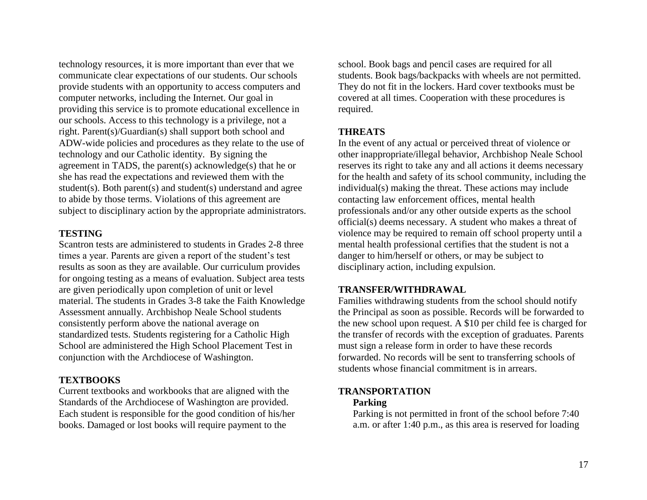technology resources, it is more important than ever that we communicate clear expectations of our students. Our schools provide students with an opportunity to access computers and computer networks, including the Internet. Our goal in providing this service is to promote educational excellence in our schools. Access to this technology is a privilege, not a right. Parent(s)/Guardian(s) shall support both school and ADW-wide policies and procedures as they relate to the use of technology and our Catholic identity. By signing the agreement in TADS, the parent(s) acknowledge(s) that he or she has read the expectations and reviewed them with the student(s). Both parent(s) and student(s) understand and agree to abide by those terms. Violations of this agreement are subject to disciplinary action by the appropriate administrators.

### <span id="page-16-0"></span>**TESTING**

Scantron tests are administered to students in Grades 2-8 three times a year. Parents are given a report of the student's test results as soon as they are available. Our curriculum provides for ongoing testing as a means of evaluation. Subject area tests are given periodically upon completion of unit or level material. The students in Grades 3-8 take the Faith Knowledge Assessment annually. Archbishop Neale School students consistently perform above the national average on standardized tests. Students registering for a Catholic High School are administered the High School Placement Test in conjunction with the Archdiocese of Washington.

#### <span id="page-16-1"></span>**TEXTBOOKS**

Current textbooks and workbooks that are aligned with the Standards of the Archdiocese of Washington are provided. Each student is responsible for the good condition of his/her books. Damaged or lost books will require payment to the

school. Book bags and pencil cases are required for all students. Book bags/backpacks with wheels are not permitted. They do not fit in the lockers. Hard cover textbooks must be covered at all times. Cooperation with these procedures is required.

### <span id="page-16-2"></span>**THREATS**

In the event of any actual or perceived threat of violence or other inappropriate/illegal behavior, Archbishop Neale School reserves its right to take any and all actions it deems necessary for the health and safety of its school community, including the individual(s) making the threat. These actions may include contacting law enforcement offices, mental health professionals and/or any other outside experts as the school official(s) deems necessary. A student who makes a threat of violence may be required to remain off school property until a mental health professional certifies that the student is not a danger to him/herself or others, or may be subject to disciplinary action, including expulsion.

### <span id="page-16-3"></span>**TRANSFER/WITHDRAWAL**

Families withdrawing students from the school should notify the Principal as soon as possible. Records will be forwarded to the new school upon request. A \$10 per child fee is charged for the transfer of records with the exception of graduates. Parents must sign a release form in order to have these records forwarded. No records will be sent to transferring schools of students whose financial commitment is in arrears.

### <span id="page-16-4"></span>**TRANSPORTATION**

### **Parking**

Parking is not permitted in front of the school before 7:40 a.m. or after 1:40 p.m., as this area is reserved for loading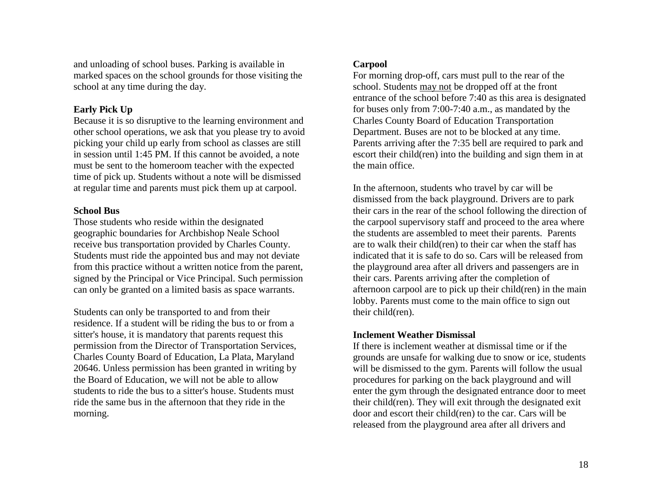and unloading of school buses. Parking is available in marked spaces on the school grounds for those visiting the school at any time during the day.

#### **Early Pick Up**

Because it is so disruptive to the learning environment and other school operations, we ask that you please try to avoid picking your child up early from school as classes are still in session until 1:45 PM. If this cannot be avoided, a note must be sent to the homeroom teacher with the expected time of pick up. Students without a note will be dismissed at regular time and parents must pick them up at carpool.

#### **School Bus**

Those students who reside within the designated geographic boundaries for Archbishop Neale School receive bus transportation provided by Charles County. Students must ride the appointed bus and may not deviate from this practice without a written notice from the parent, signed by the Principal or Vice Principal. Such permission can only be granted on a limited basis as space warrants.

Students can only be transported to and from their residence. If a student will be riding the bus to or from a sitter's house, it is mandatory that parents request this permission from the Director of Transportation Services, Charles County Board of Education, La Plata, Maryland 20646. Unless permission has been granted in writing by the Board of Education, we will not be able to allow students to ride the bus to a sitter's house. Students must ride the same bus in the afternoon that they ride in the morning.

#### **Carpool**

For morning drop-off, cars must pull to the rear of the school. Students may not be dropped off at the front entrance of the school before 7:40 as this area is designated for buses only from 7:00-7:40 a.m., as mandated by the Charles County Board of Education Transportation Department. Buses are not to be blocked at any time. Parents arriving after the 7:35 bell are required to park and escort their child(ren) into the building and sign them in at the main office.

In the afternoon, students who travel by car will be dismissed from the back playground. Drivers are to park their cars in the rear of the school following the direction of the carpool supervisory staff and proceed to the area where the students are assembled to meet their parents. Parents are to walk their child(ren) to their car when the staff has indicated that it is safe to do so. Cars will be released from the playground area after all drivers and passengers are in their cars. Parents arriving after the completion of afternoon carpool are to pick up their child(ren) in the main lobby. Parents must come to the main office to sign out their child(ren).

#### **Inclement Weather Dismissal**

If there is inclement weather at dismissal time or if the grounds are unsafe for walking due to snow or ice, students will be dismissed to the gym. Parents will follow the usual procedures for parking on the back playground and will enter the gym through the designated entrance door to meet their child(ren). They will exit through the designated exit door and escort their child(ren) to the car. Cars will be released from the playground area after all drivers and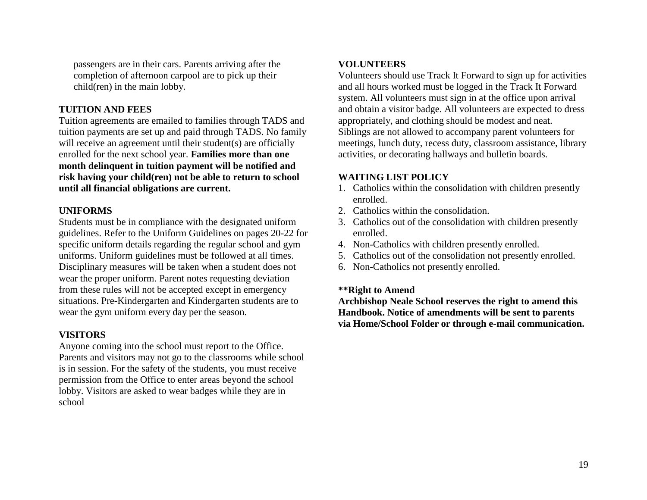passengers are in their cars. Parents arriving after the completion of afternoon carpool are to pick up their child(ren) in the main lobby.

#### <span id="page-18-0"></span>**TUITION AND FEES**

Tuition agreements are emailed to families through TADS and tuition payments are set up and paid through TADS. No family will receive an agreement until their student(s) are officially enrolled for the next school year. **Families more than one month delinquent in tuition payment will be notified and risk having your child(ren) not be able to return to school until all financial obligations are current.**

### <span id="page-18-1"></span>**UNIFORMS**

Students must be in compliance with the designated uniform guidelines. Refer to the Uniform Guidelines on pages 20-22 for specific uniform details regarding the regular school and gym uniforms. Uniform guidelines must be followed at all times. Disciplinary measures will be taken when a student does not wear the proper uniform. Parent notes requesting deviation from these rules will not be accepted except in emergency situations. Pre-Kindergarten and Kindergarten students are to wear the gym uniform every day per the season.

### <span id="page-18-2"></span>**VISITORS**

<span id="page-18-3"></span>Anyone coming into the school must report to the Office. Parents and visitors may not go to the classrooms while school is in session. For the safety of the students, you must receive permission from the Office to enter areas beyond the school lobby. Visitors are asked to wear badges while they are in school

### **VOLUNTEERS**

Volunteers should use Track It Forward to sign up for activities and all hours worked must be logged in the Track It Forward system. All volunteers must sign in at the office upon arrival and obtain a visitor badge. All volunteers are expected to dress appropriately, and clothing should be modest and neat. Siblings are not allowed to accompany parent volunteers for meetings, lunch duty, recess duty, classroom assistance, library activities, or decorating hallways and bulletin boards.

### <span id="page-18-4"></span>**WAITING LIST POLICY**

- 1. Catholics within the consolidation with children presently enrolled.
- 2. Catholics within the consolidation.
- 3. Catholics out of the consolidation with children presently enrolled.
- 4. Non-Catholics with children presently enrolled.
- 5. Catholics out of the consolidation not presently enrolled.
- 6. Non-Catholics not presently enrolled.

### **\*\*Right to Amend**

**Archbishop Neale School reserves the right to amend this Handbook. Notice of amendments will be sent to parents via Home/School Folder or through e-mail communication.**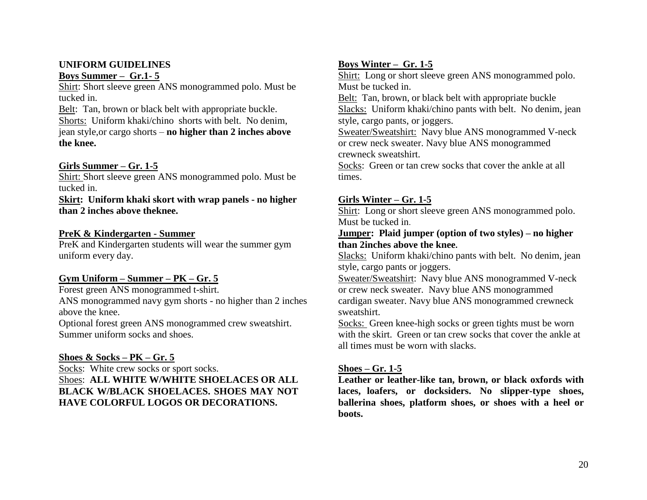### <span id="page-19-0"></span>**UNIFORM GUIDELINES Boys Summer – Gr.1- 5**

Shirt: Short sleeve green ANS monogrammed polo. Must be tucked in.

Belt: Tan, brown or black belt with appropriate buckle. Shorts: Uniform khaki/chino shorts with belt. No denim, jean style,or cargo shorts – **no higher than 2 inches above the knee.**

### **Girls Summer – Gr. 1-5**

Shirt: Short sleeve green ANS monogrammed polo. Must be tucked in.

### **Skirt: Uniform khaki skort with wrap panels - no higher than 2 inches above theknee.**

#### **PreK & Kindergarten - Summer**

PreK and Kindergarten students will wear the summer gym uniform every day.

### **Gym Uniform – Summer – PK – Gr. 5**

Forest green ANS monogrammed t-shirt.

ANS monogrammed navy gym shorts - no higher than 2 inches above the knee.

Optional forest green ANS monogrammed crew sweatshirt. Summer uniform socks and shoes.

### **Shoes & Socks – PK – Gr. 5**

Socks: White crew socks or sport socks. Shoes: **ALL WHITE W/WHITE SHOELACES OR ALL BLACK W/BLACK SHOELACES. SHOES MAY NOT HAVE COLORFUL LOGOS OR DECORATIONS.**

# **Boys Winter – Gr. 1-5**

Shirt: Long or short sleeve green ANS monogrammed polo. Must be tucked in.

Belt: Tan, brown, or black belt with appropriate buckle Slacks: Uniform khaki/chino pants with belt. No denim, jean style, cargo pants, or joggers.

Sweater/Sweatshirt: Navy blue ANS monogrammed V-neck or crew neck sweater. Navy blue ANS monogrammed crewneck sweatshirt.

Socks: Green or tan crew socks that cover the ankle at all times.

### **Girls Winter – Gr. 1-5**

Shirt: Long or short sleeve green ANS monogrammed polo. Must be tucked in.

### **Jumper: Plaid jumper (option of two styles) – no higher than 2inches above the knee.**

Slacks: Uniform khaki/chino pants with belt. No denim, jean style, cargo pants or joggers.

Sweater/Sweatshirt: Navy blue ANS monogrammed V-neck or crew neck sweater. Navy blue ANS monogrammed cardigan sweater. Navy blue ANS monogrammed crewneck sweatshirt.

Socks: Green knee-high socks or green tights must be worn with the skirt. Green or tan crew socks that cover the ankle at all times must be worn with slacks.

### **Shoes – Gr. 1-5**

**Leather or leather-like tan, brown, or black oxfords with laces, loafers, or docksiders. No slipper-type shoes, ballerina shoes, platform shoes, or shoes with a heel or boots.**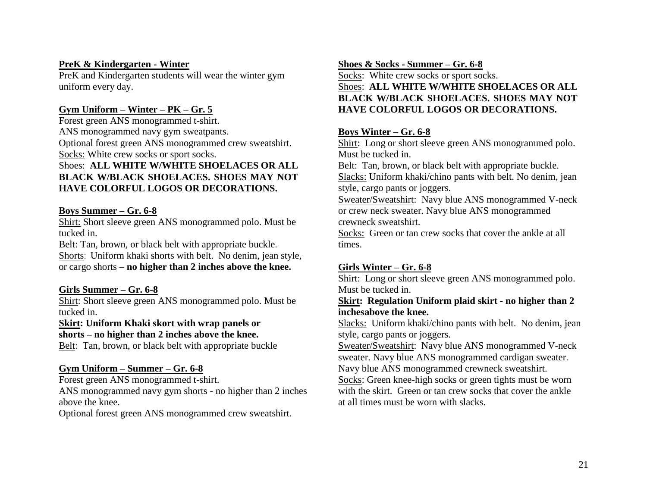### **PreK & Kindergarten - Winter**

PreK and Kindergarten students will wear the winter gym uniform every day.

### **Gym Uniform – Winter – PK – Gr. 5**

Forest green ANS monogrammed t-shirt. ANS monogrammed navy gym sweatpants. Optional forest green ANS monogrammed crew sweatshirt. Socks: White crew socks or sport socks. Shoes: **ALL WHITE W/WHITE SHOELACES OR ALL BLACK W/BLACK SHOELACES. SHOES MAY NOT HAVE COLORFUL LOGOS OR DECORATIONS.**

### **Boys Summer – Gr. 6-8**

Shirt: Short sleeve green ANS monogrammed polo. Must be tucked in.

Belt: Tan, brown, or black belt with appropriate buckle. Shorts: Uniform khaki shorts with belt. No denim, jean style, or cargo shorts – **no higher than 2 inches above the knee.**

### **Girls Summer – Gr. 6-8**

Shirt: Short sleeve green ANS monogrammed polo. Must be tucked in.

**Skirt: Uniform Khaki skort with wrap panels or shorts – no higher than 2 inches above the knee.**

Belt: Tan, brown, or black belt with appropriate buckle

### **Gym Uniform – Summer – Gr. 6-8**

Forest green ANS monogrammed t-shirt. ANS monogrammed navy gym shorts - no higher than 2 inches above the knee.

Optional forest green ANS monogrammed crew sweatshirt.

# **Shoes & Socks - Summer – Gr. 6-8**

Socks: White crew socks or sport socks. Shoes: **ALL WHITE W/WHITE SHOELACES OR ALL BLACK W/BLACK SHOELACES. SHOES MAY NOT HAVE COLORFUL LOGOS OR DECORATIONS.**

### **Boys Winter – Gr. 6-8**

Shirt: Long or short sleeve green ANS monogrammed polo. Must be tucked in.

Belt: Tan, brown, or black belt with appropriate buckle. Slacks: Uniform khaki/chino pants with belt. No denim, jean style, cargo pants or joggers.

Sweater/Sweatshirt: Navy blue ANS monogrammed V-neck or crew neck sweater. Navy blue ANS monogrammed crewneck sweatshirt.

Socks: Green or tan crew socks that cover the ankle at all times.

# **Girls Winter – Gr. 6-8**

Shirt: Long or short sleeve green ANS monogrammed polo. Must be tucked in.

### **Skirt: Regulation Uniform plaid skirt - no higher than 2 inchesabove the knee.**

Slacks: Uniform khaki/chino pants with belt. No denim, jean style, cargo pants or joggers.

Sweater/Sweatshirt: Navy blue ANS monogrammed V-neck sweater. Navy blue ANS monogrammed cardigan sweater. Navy blue ANS monogrammed crewneck sweatshirt.

Socks: Green knee-high socks or green tights must be worn with the skirt. Green or tan crew socks that cover the ankle at all times must be worn with slacks.